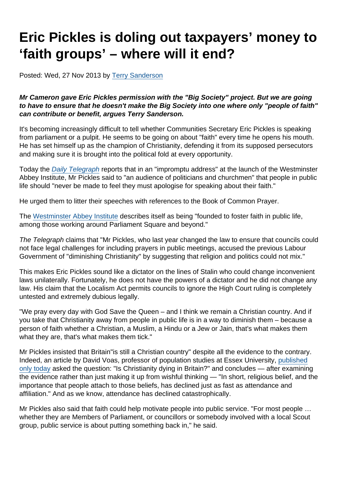## Eric Pickles is doling out taxpayers' money to 'faith groups' – where will it end?

Posted: Wed, 27 Nov 2013 by [Terry Sanderson](https://www.secularism.org.uk/opinion/authors/850)

Mr Cameron gave Eric Pickles permission with the "Big Society" project. But we are going to have to ensure that he doesn't make the Big Society into one where only "people of faith" can contribute or benefit, argues Terry Sanderson.

It's becoming increasingly difficult to tell whether Communities Secretary Eric Pickles is speaking from parliament or a pulpit. He seems to be going on about "faith" every time he opens his mouth. He has set himself up as the champion of Christianity, defending it from its supposed persecutors and making sure it is brought into the political fold at every opportunity.

Today the [Daily Telegraph](http://www.telegraph.co.uk/news/religion/10475933/Britain-still-a-Christian-Country-says-Eric-Pickles.html) reports that in an "impromptu address" at the launch of the Westminster Abbey Institute, Mr Pickles said to "an audience of politicians and churchmen" that people in public life should "never be made to feel they must apologise for speaking about their faith."

He urged them to litter their speeches with references to the Book of Common Prayer.

The [Westminster Abbey Institute](http://www.westminster-abbey.org/press/news/news/2013/october/westminster-abbey-institute-launched) describes itself as being "founded to foster faith in public life, among those working around Parliament Square and beyond."

The Telegraph claims that "Mr Pickles, who last year changed the law to ensure that councils could not face legal challenges for including prayers in public meetings, accused the previous Labour Government of "diminishing Christianity" by suggesting that religion and politics could not mix."

This makes Eric Pickles sound like a dictator on the lines of Stalin who could change inconvenient laws unilaterally. Fortunately, he does not have the powers of a dictator and he did not change any law. His claim that the Localism Act permits councils to ignore the High Court ruling is completely untested and extremely dubious legally.

"We pray every day with God Save the Queen – and I think we remain a Christian country. And if you take that Christianity away from people in public life is in a way to diminish them – because a person of faith whether a Christian, a Muslim, a Hindu or a Jew or Jain, that's what makes them what they are, that's what makes them tick."

Mr Pickles insisted that Britain"is still a Christian country" despite all the evidence to the contrary. Indeed, an article by David Voas, professor of population studies at Essex University, [published](https://theconversation.com/hard-evidence-is-christianity-dying-in-britain-20734) [only today](https://theconversation.com/hard-evidence-is-christianity-dying-in-britain-20734) asked the question: "Is Christianity dying in Britain?" and concludes — after examining the evidence rather than just making it up from wishful thinking — "In short, religious belief, and the importance that people attach to those beliefs, has declined just as fast as attendance and affiliation." And as we know, attendance has declined catastrophically.

Mr Pickles also said that faith could help motivate people into public service. "For most people … whether they are Members of Parliament, or councillors or somebody involved with a local Scout group, public service is about putting something back in," he said.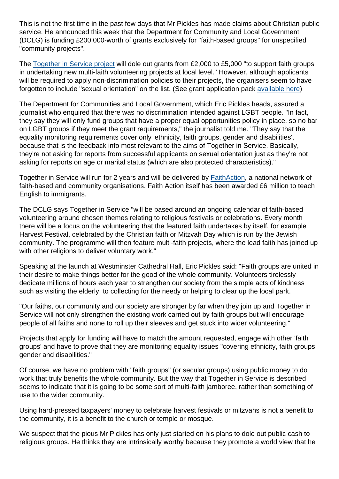This is not the first time in the past few days that Mr Pickles has made claims about Christian public service. He announced this week that the Department for Community and Local Government (DCLG) is funding £200,000-worth of grants exclusively for "faith-based groups" for unspecified "community projects".

The [Together in Service project](http://www.togetherinservice.net/funding/) will dole out grants from £2,000 to £5,000 "to support faith groups in undertaking new multi-faith volunteering projects at local level." However, although applicants will be required to apply non-discrimination policies to their projects, the organisers seem to have forgotten to include "sexual orientation" on the list. (See grant application pack [available here\)](http://www.togetherinservice.net/funding/apply/)

The Department for Communities and Local Government, which Eric Pickles heads, assured a journalist who enquired that there was no discrimination intended against LGBT people. "In fact, they say they will only fund groups that have a proper equal opportunities policy in place, so no bar on LGBT groups if they meet the grant requirements," the journalist told me. "They say that the equality monitoring requirements cover only 'ethnicity, faith groups, gender and disabilities', because that is the feedback info most relevant to the aims of Together in Service. Basically, they're not asking for reports from successful applicants on sexual orientation just as they're not asking for reports on age or marital status (which are also protected characteristics)."

Together in Service will run for 2 years and will be delivered by [FaithAction](http://www.faithaction.net/), a national network of faith-based and community organisations. Faith Action itself has been awarded £6 million to teach English to immigrants.

The DCLG says Together in Service "will be based around an ongoing calendar of faith-based volunteering around chosen themes relating to religious festivals or celebrations. Every month there will be a focus on the volunteering that the featured faith undertakes by itself, for example Harvest Festival, celebrated by the Christian faith or Mitzvah Day which is run by the Jewish community. The programme will then feature multi-faith projects, where the lead faith has joined up with other religions to deliver voluntary work."

Speaking at the launch at Westminster Cathedral Hall, Eric Pickles said: "Faith groups are united in their desire to make things better for the good of the whole community. Volunteers tirelessly dedicate millions of hours each year to strengthen our society from the simple acts of kindness such as visiting the elderly, to collecting for the needy or helping to clear up the local park.

"Our faiths, our community and our society are stronger by far when they join up and Together in Service will not only strengthen the existing work carried out by faith groups but will encourage people of all faiths and none to roll up their sleeves and get stuck into wider volunteering."

Projects that apply for funding will have to match the amount requested, engage with other 'faith groups' and have to prove that they are monitoring equality issues "covering ethnicity, faith groups, gender and disabilities."

Of course, we have no problem with "faith groups" (or secular groups) using public money to do work that truly benefits the whole community. But the way that Together in Service is described seems to indicate that it is going to be some sort of multi-faith jamboree, rather than something of use to the wider community.

Using hard-pressed taxpayers' money to celebrate harvest festivals or mitzvahs is not a benefit to the community, it is a benefit to the church or temple or mosque.

We suspect that the pious Mr Pickles has only just started on his plans to dole out public cash to religious groups. He thinks they are intrinsically worthy because they promote a world view that he